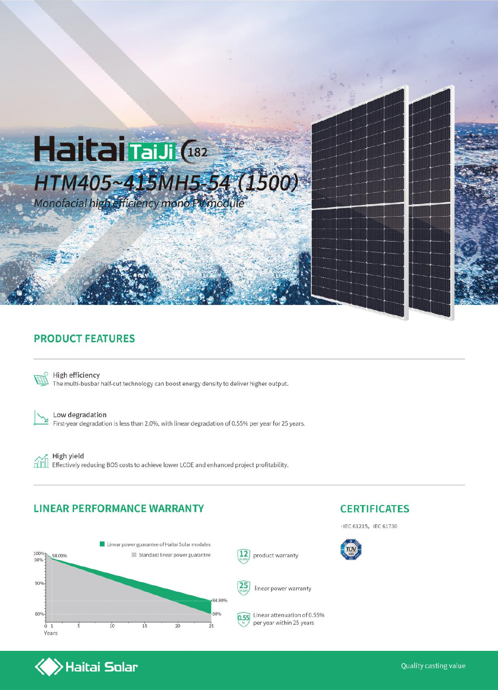

#### **PRODUCT FEATURES**



High efficiency The multi-busbar half-cut technology can boost energy density to deliver higher output.

Low degradation First-year degradation is less than 2.0%, with linear degradation of 0.55% per year for 25 years.

High yield ńm Effectively reducing BOS costs to achieve lower LCOE and enhanced project profitability.

#### **LINEAR PERFORMANCE WARRANTY**

 $\blacktriangleright$ Haitai Solar



# **CERTIFICATES**

· IEC 61215, IEC 61730



Quality casting value